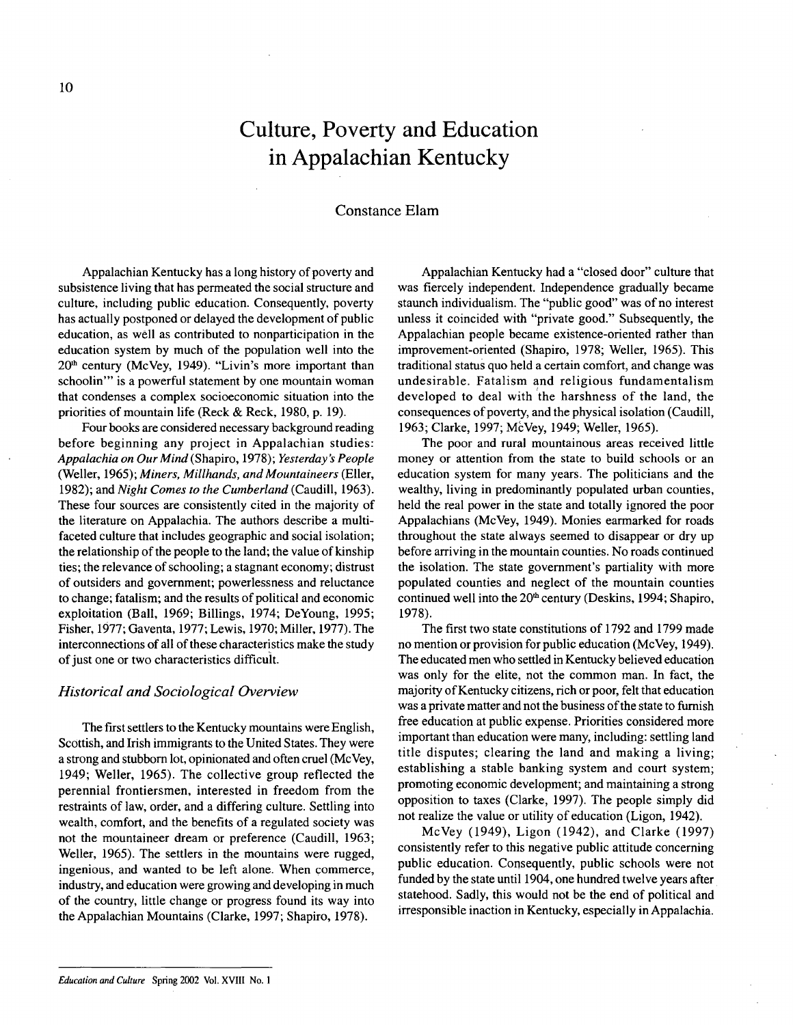# **Culture, Poverty and Education** in Appalachian **Kentucky**

## Constance Elam

Appalachian Kentucky has a long history of poverty and subsistence living that has permeated the social structure and culture, including public education. Consequently, poverty has actually postponed or delayed the development of public education, as well as contributed to nonparticipation in the education system by much of the population well into the  $20<sup>th</sup>$  century (McVey, 1949). "Livin's more important than schoolin'" is a powerful statement by one mountain woman that condenses a complex socioeconomic situation into the priorities of mountain life (Reck & Reck, 1980, p. 19).

Four books are considered necessary background reading before beginning any project in Appalachian studies: *Appalachia on Our Mind* (Shapiro, 1978); *Yesterday's People* (Weller, 1965); *Miners, Mil/hands, and Mountaineers* (Eller, 1982); and *Night Comes to the Cumberland* (Caudill, 1963). These four sources are consistently cited in the majority of the literature on Appalachia. The authors describe a multifaceted culture that includes geographic and social isolation; the relationship of the people to the land; the value of kinship ties; the relevance of schooling; a stagnant economy; distrust of outsiders and government; powerlessness and reluctance to change; fatalism; and the results of political and economic exploitation (Ball, 1969; Billings, 1974; DeYoung, 1995; Fisher, 1977; Gaventa, 1977; Lewis, 1970; Miller, 1977). The interconnections of all of these characteristics make the study of just one or two characteristics difficult.

### *Historical and Sociological Overview*

The first settlers to the Kentucky mountains were English, Scottish, and Irish immigrants to the United States. They were a strong and stubborn lot, opinionated and often cruel (McVey, 1949; Weller, 1965). The collective group reflected the perennial frontiersmen, interested in freedom from the restraints of law, order, and a differing culture. Settling into wealth, comfort, and the benefits of a regulated society was not the mountaineer dream or preference (Caudill, 1963; Weller, 1965). The settlers in the mountains were rugged, ingenious, and wanted to be left alone. When commerce, industry, and education were growing and developing in much of the country, little change or progress found its way into the Appalachian Mountains (Clarke, 1997; Shapiro, 1978).

Appalachian Kentucky had a "closed door" culture that was fiercely independent. Independence gradually became staunch individualism. The "public good" was of no interest unless it coincided with "private good." Subsequently, the Appalachian people became existence-oriented rather than improvement-oriented (Shapiro, 1978; Weller, 1965). This traditional status quo held a certain comfort, and change was undesirable. Fatalism and religious fundamentalism developed to deal with the harshness of the land, the consequences of poverty, and the physical isolation (Caudill, 1963; Clarke, 1997; McVey, 1949; Weller, 1965).

The poor and rural mountainous areas received little money or attention from the state to build schools or an education system for many years. The politicians and the wealthy, living in predominantly populated urban counties, held the real power in the state and totally ignored the poor Appalachians (McVey, 1949). Monies earmarked for roads throughout the state always seemed to disappear or dry up before arriving in the mountain counties. No roads continued the isolation. The state government's partiality with more populated counties and neglect of the mountain counties continued well into the  $20<sup>th</sup>$  century (Deskins, 1994; Shapiro, 1978).

The first two state constitutions of 1792 and 1799 made no mention or provision for public education (McVey, 1949). The educated men who settled in Kentucky believed education was only for the elite, not the common man. In fact, the majority of Kentucky citizens, rich or poor, felt that education was a private matter and not the business of the state to furnish free education at public expense. Priorities considered more important than education were many, including: settling land title disputes; clearing the land and making a living; establishing a stable banking system and court system; promoting economic development; and maintaining a strong opposition to taxes (Clarke, 1997). The people simply did not realize the value or utility of education (Ligon, 1942).

McVey (1949), Ligon (1942), and Clarke (1997) consistently refer to this negative public attitude concerning public education. Consequently, public schools were not funded by the state until 1904, one hundred twelve years after statehood. Sadly, this would not be the end of political and irresponsible inaction in Kentucky, especially in Appalachia.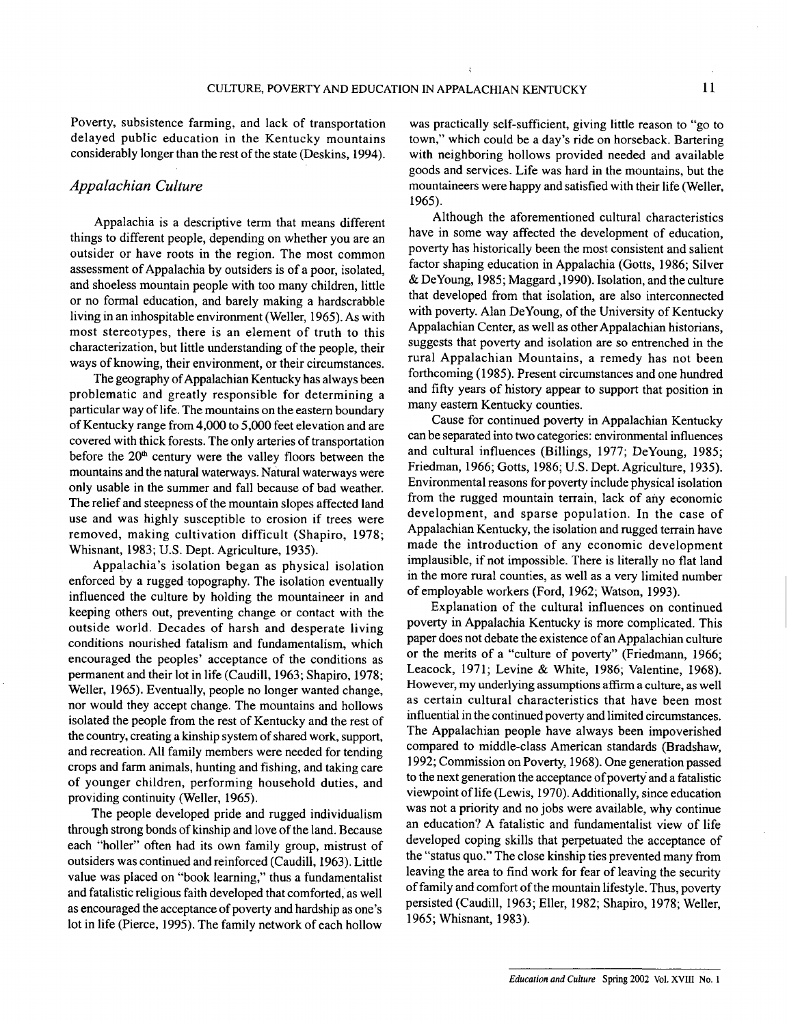Poverty, subsistence farming, and lack of transportation delayed public education in the Kentucky mountains considerably longer than the rest of the state (Deskins, 1994).

## *Appalachian Culture*

Appalachia is a descriptive term that means different things to different people, depending on whether you are an outsider or have roots in the region. The most common assessment of Appalachia by outsiders is of a poor, isolated, and shoeless mountain people with too many children, little or no formal education, and barely making a hardscrabble living in an inhospitable environment (Weller, 1965). As with most stereotypes, there is an element of truth to this characterization, but little understanding of the people, their ways of knowing, their environment, or their circumstances.

The geography of Appalachian Kentucky has always been problematic and greatly responsible for determining a particular way of life. The mountains on the eastern boundary of Kentucky range from 4,000 to 5,000 feet elevation and are covered with thick forests. The only arteries of transportation before the  $20<sup>th</sup>$  century were the valley floors between the mountains and the natural waterways. Natural waterways were only usable in the summer and fall because of bad weather. The relief and steepness of the mountain slopes affected land use and was highly susceptible to erosion if trees were removed, making cultivation difficult (Shapiro, 1978; Whisnant, 1983; U.S. Dept. Agriculture, 1935).

Appalachia's isolation began as physical isolation enforced by a rugged topography. The isolation eventually influenced the culture by holding the mountaineer in and keeping others out, preventing change or contact with the outside world. Decades of harsh and desperate living conditions nourished fatalism and fundamentalism, which encouraged the peoples' acceptance of the conditions as permanent and their lot in life (Caudill, 1963; Shapiro, 1978; Weller, 1965). Eventually, people no longer wanted change, nor would they accept change. The mountains and hollows isolated the people from the rest of Kentucky and the rest of the country, creating a kinship system of shared work, support, and recreation. All family members were needed for tending crops and farm animals, hunting and fishing, and taking care of younger children, performing household duties, and providing continuity (Weller, 1965).

The people developed pride and rugged individualism through strong bonds of kinship and love of the land. Because each "holler" often had its own family group, mistrust of outsiders was continued and reinforced (Caudill, 1963). Little value was placed on "book learning," thus a fundamentalist and fatalistic religious faith developed that comforted, as well as encouraged the acceptance of poverty and hardship as one's lot in life (Pierce, 1995). The family network of each hollow

was practically self-sufficient, giving little reason to "go to town," which could be a day's ride on horseback. Bartering with neighboring hollows provided needed and available goods and services. Life was hard in the mountains, but the mountaineers were happy and satisfied with their life (Weller, 1965).

Although the aforementioned cultural characteristics have in some way affected the development of education, poverty has historically been the most consistent and salient factor shaping education in Appalachia (Gotts, 1986; Silver & DeYoung, 1985; Maggard ,1990). Isolation, and the culture that developed from that isolation, are also interconnected with poverty. Alan DeYoung, of the University of Kentucky Appalachian Center, as well as other Appalachian historians, suggests that poverty and isolation are so entrenched in the rural Appalachian Mountains, a remedy has not been forthcoming (1985). Present circumstances and one hundred and fifty years of history appear to support that position in many eastern Kentucky counties.

Cause for continued poverty in Appalachian Kentucky can be separated into two categories: environmental influences and cultural influences (Billings, 1977; DeYoung, 1985; Friedman, 1966; Gotts, 1986; U.S. Dept. Agriculture, 1935). Environmental reasons for poverty include physical isolation from the rugged mountain terrain, lack of any economic development, and sparse population. In the case of Appalachian Kentucky, the isolation and rugged terrain have made the introduction of any economic development implausible, if not impossible. There is literally no flat land in the more rural counties, as well as a very limited number of employable workers (Ford, 1962; Watson, 1993).

Explanation of the cultural influences on continued poverty in Appalachia Kentucky is more complicated. This paper does not debate the existence of an Appalachian culture or the merits of a "culture of poverty" (Friedmann, 1966; Leacock, 1971; Levine & White, 1986; Valentine, 1968). However, my underlying assumptions affirm a culture, as well as certain cultural characteristics that have been most influential in the continued poverty and limited circumstances. The Appalachian people have always been impoverished compared to middle-class American standards (Bradshaw, 1992; Commission on Poverty, 1968). One generation passed to the next generation the acceptance of poverty and a fatalistic viewpoint of life (Lewis, 1970). Additionally, since education was not a priority and no jobs were available, why continue an education? A fatalistic and fundamentalist view of life developed coping skills that perpetuated the acceptance of the "status quo." The close kinship ties prevented many from leaving the area to find work for fear of leaving the security of family and comfort of the mountain lifestyle. Thus, poverty persisted (Caudill, 1963; Eller, 1982; Shapiro, 1978; Weller, 1965; Whisnant, 1983).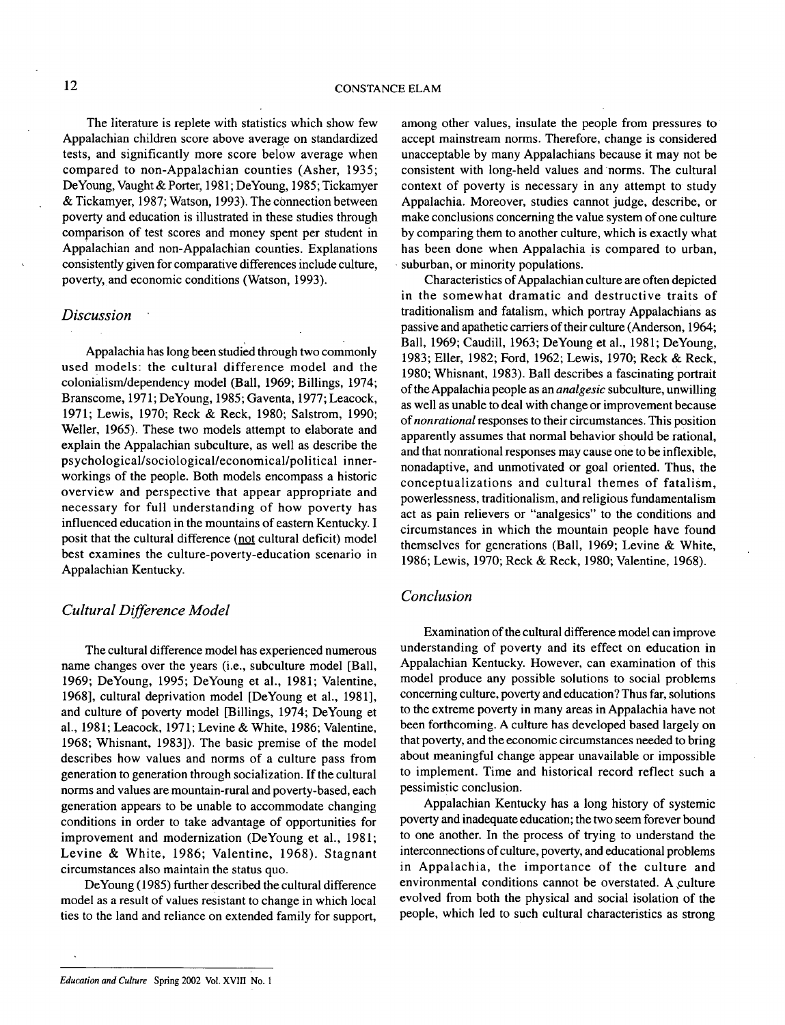The literature is replete with statistics which show few Appalachian children score above average on standardized tests, and significantly more score below average when compared to non-Appalachian counties (Asher, 1935; DeYoung, Vaught & Porter, 1981; DeYoung, 1985; Tickamyer & Tickamyer, 1987; Watson, 1993). The connection between poverty and education is illustrated in these studies through comparison of test scores and money spent per student in Appalachian and non-Appalachian counties. Explanations consistently given for comparative differences include culture, poverty, and economic conditions (Watson, 1993).

#### *Discussion*

Appalachia has long been studied through two commonly used models: the cultural difference model and the colonialism/dependency model (Ball, 1969; Billings, 1974; Branscome, 1971; DeYoung, 1985; Gaventa, 1977; Leacock, 1971; Lewis, 1970; Reck & Reck, 1980; Salstrom, 1990; Weller, 1965). These two models attempt to elaborate and explain the Appalachian subculture, as well as describe the psychological/sociological/economical/political innerworkings of the people. Both models encompass a historic overview and perspective that appear appropriate and necessary for full understanding of how poverty has influenced education in the mountains of eastern Kentucky. I posit that the cultural difference (not cultural deficit) model best examines the culture-poverty-education scenario in Appalachian Kentucky.

## *Cultural Difference Model*

The cultural difference model has experienced numerous name changes over the years (i.e., subculture model [Ball, 1969; DeYoung, 1995; DeYoung et a!., 1981; Valentine, 1968], cultural deprivation model [DeYoung et a!., 1981], and culture of poverty model [Billings, 1974; DeYoung et a!., 1981; Leacock, 1971; Levine & White, 1986; Valentine, 1968; Whisnant, 1983]). The basic premise of the model describes how values and norms of a culture pass from generation to generation through socialization. If the cultural norms and values are mountain-rural and poverty-based, each generation appears to be unable to accommodate changing conditions in order to take advantage of opportunities for improvement and modernization (DeYoung et al., 1981; Levine & White, 1986; Valentine, 1968). Stagnant circumstances also maintain the status quo.

DeYoung (1985) further described the cultural difference model as a result of values resistant to change in which local ties to the land and reliance on extended family for support,

among other values, insulate the people from pressures to accept mainstream norms. Therefore, change is considered unacceptable by many Appalachians because it may not be consistent with long-held values and "norms. The cultural context of poverty is necessary in any attempt to study Appalachia. Moreover, studies cannot judge, describe, or make conclusions concerning the value system of one culture by comparing them to another culture, which is exactly what has been done when Appalachia is compared to urban, suburban, or minority populations.

Characteristics of Appalachian culture are often depicted in the somewhat dramatic and destructive traits of traditionalism and fatalism, which portray Appalachians as passive and apathetic carriers of their culture (Anderson, 1964; Ball, 1969; Caudill, 1963; DeYoung et a!., 1981; DeYoung, 1983; Eller, 1982; Ford, 1962; Lewis, 1970; Reck & Reck, 1980; Whisnant, 1983). Ball describes a fascinating portrait oftheAppalachia people as an *analgesic* subculture, unwilling as well as unable to deal with change or improvement because of*nonrational* responses to their circumstances. This position apparently assumes that normal behavior should be rational, and that nonrational responses may cause one to be inflexible, nonadaptive, and unmotivated or goal oriented. Thus, the conceptualizations and cultural themes of fatalism, powerlessness, traditionalism, and religious fundamentalism act as pain relievers or "analgesics" to the conditions and circumstances in which the mountain people have found themselves for generations (Ball, 1969; Levine & White, 1986; Lewis, 1970; Reck & Reck, 1980; Valentine, 1968).

## *Conclusion*

Examination of the cultural difference model can improve understanding of poverty and its effect on education in Appalachian Kentucky. However, can examination of this model produce any possible solutions to social problems concerning culture, poverty and education?Thus far, solutions to the extreme poverty in many areas in Appalachia have not been forthcoming. A culture has developed based largely on that poverty, and the economic circumstances needed to bring about meaningful change appear unavailable or impossible to implement. Time and historical record reflect such a pessimistic conclusion.

Appalachian Kentucky has a long history of systemic poverty and inadequate education; the two seem forever bound to one another. In the process of trying to understand the interconnections of culture, poverty, and educational problems in Appalachia, the importance of the culture and environmental conditions cannot be overstated. A culture evolved from both the physical and social isolation of the people, which led to such cultural characteristics as strong